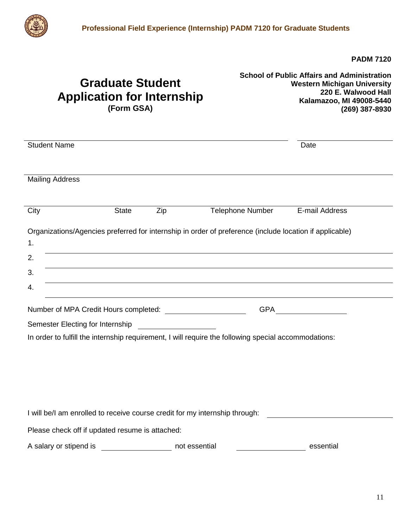

**PADM 7120**

## **Graduate Student Application for Internship (Form GSA)**

**School of Public Affairs and Administration Western Michigan University 220 E. Walwood Hall Kalamazoo, MI 49008-5440 (269) 387-8930**

| <b>Student Name</b>                                                                                                                                      |                         | Date           |
|----------------------------------------------------------------------------------------------------------------------------------------------------------|-------------------------|----------------|
| <b>Mailing Address</b>                                                                                                                                   |                         |                |
|                                                                                                                                                          |                         |                |
| City<br><b>State</b>                                                                                                                                     | Zip<br>Telephone Number | E-mail Address |
| Organizations/Agencies preferred for internship in order of preference (include location if applicable)                                                  |                         |                |
| 1.                                                                                                                                                       |                         |                |
| 2.                                                                                                                                                       |                         |                |
| 3.                                                                                                                                                       |                         |                |
| 4.                                                                                                                                                       |                         |                |
| GPA ______________                                                                                                                                       |                         |                |
| Semester Electing for Internship<br><u> 1989 - Jan Stein Stein Stein Stein Stein Stein Stein Stein Stein Stein Stein Stein Stein Stein Stein Stein S</u> |                         |                |
| In order to fulfill the internship requirement, I will require the following special accommodations:                                                     |                         |                |
|                                                                                                                                                          |                         |                |
|                                                                                                                                                          |                         |                |
|                                                                                                                                                          |                         |                |
|                                                                                                                                                          |                         |                |
| I will be/I am enrolled to receive course credit for my internship through:                                                                              |                         |                |
| Please check off if updated resume is attached:                                                                                                          |                         |                |
| A salary or stipend is                                                                                                                                   | not essential           | essential      |